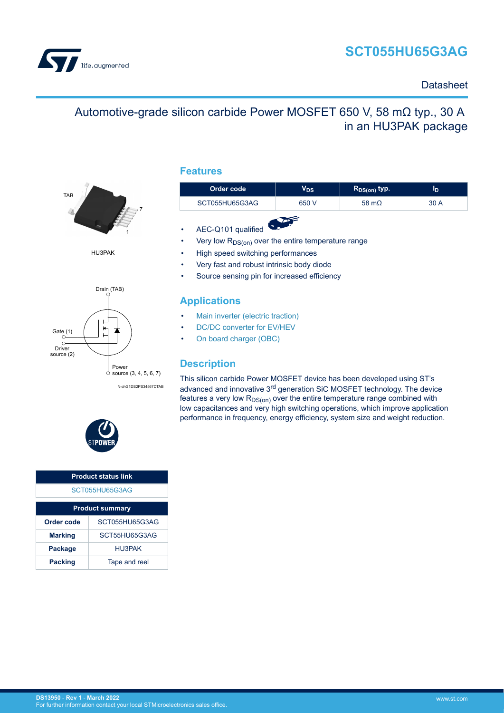# **SCT055HU65G3AG**



### **Datasheet**

# Automotive-grade silicon carbide Power MOSFET 650 V, 58 mΩ typ., 30 A in an HU3PAK package



HU3PAK



N-chG1DS2PS34567DTAB



| <b>Product status link</b>      |               |  |  |
|---------------------------------|---------------|--|--|
| SCT055HU65G3AG                  |               |  |  |
| <b>Product summary</b>          |               |  |  |
| SCT055HU65G3AG<br>Order code    |               |  |  |
| <b>Marking</b>                  | SCT55HU65G3AG |  |  |
| HU3PAK<br><b>Package</b>        |               |  |  |
| Tape and reel<br><b>Packing</b> |               |  |  |

### **Features**

| Order code     | $\mathsf{V_{DS}}$ | $R_{DS(on)}$ typ. | סי   |
|----------------|-------------------|-------------------|------|
| SCT055HU65G3AG | 650 V             | 58 m $\Omega$     | 30 A |
|                |                   |                   |      |

- AEC-Q101 qualified
- Very low  $R_{DS(on)}$  over the entire temperature range
- High speed switching performances
- Very fast and robust intrinsic body diode
- Source sensing pin for increased efficiency

### **Applications**

- [Main inverter \(electric traction\)](https://www.st.com/en/applications/electro-mobility/main-inverter-electric-traction.html?ecmp=tt9471_gl_link_feb2019&rt=ds&id=DS13950)
- [DC/DC converter for EV/HEV](https://www.st.com/en/applications/electro-mobility/dc-dc-converter-for-ev-hev.html?ecmp=tt9471_gl_link_feb2019&rt=ds&id=DS13950)
- [On board charger \(OBC\)](https://www.st.com/en/applications/electro-mobility/on-board-charger-obc.html?ecmp=tt9471_gl_link_feb2019&rt=ds&id=DS13950)

### **Description**

This silicon carbide Power MOSFET device has been developed using ST's advanced and innovative 3rd generation SiC MOSFET technology. The device features a very low  $R_{DS(on)}$  over the entire temperature range combined with low capacitances and very high switching operations, which improve application performance in frequency, energy efficiency, system size and weight reduction.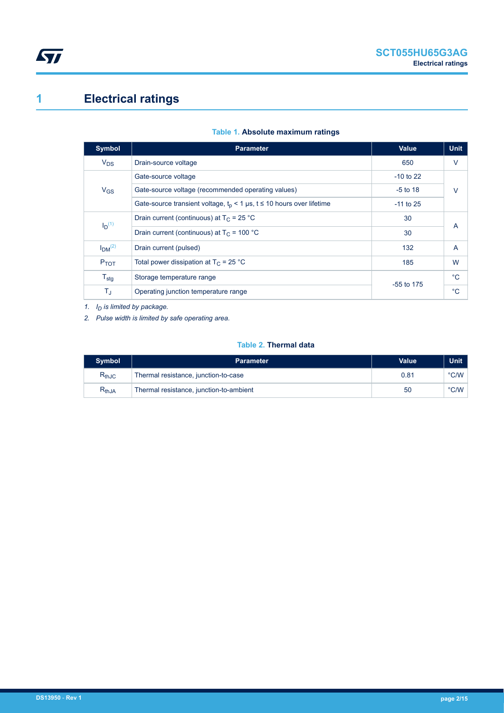# <span id="page-1-0"></span>**1 Electrical ratings**

| <b>Symbol</b>                  | <b>Parameter</b>                                                        | <b>Value</b> | <b>Unit</b>    |
|--------------------------------|-------------------------------------------------------------------------|--------------|----------------|
| $V_{DS}$                       | Drain-source voltage                                                    | 650          | $\vee$         |
|                                | Gate-source voltage                                                     | $-10$ to 22  |                |
| $V_{GS}$                       | Gate-source voltage (recommended operating values)                      | $-5$ to 18   | $\vee$         |
|                                | Gate-source transient voltage, $t_p$ < 1 µs, t ≤ 10 hours over lifetime | $-11$ to 25  |                |
| $I_D(1)$                       | Drain current (continuous) at $T_c = 25 °C$                             | 30           | $\overline{A}$ |
|                                | Drain current (continuous) at $T_C = 100 °C$                            | 30           |                |
| I <sub>DM</sub> <sup>(2)</sup> | Drain current (pulsed)                                                  | 132          | $\overline{A}$ |
| $P_{TOT}$                      | Total power dissipation at $T_C = 25$ °C                                | 185          | W              |
| $T_{\text{stg}}$               | Storage temperature range                                               |              | $^{\circ}C$    |
| $T_{\text{J}}$                 | Operating junction temperature range                                    | $-55$ to 175 | $^{\circ}C$    |

### **Table 1. Absolute maximum ratings**

*1. ID is limited by package.*

*2. Pulse width is limited by safe operating area.*

### **Table 2. Thermal data**

| <b>Symbol</b>                | <b>Parameter</b>                        | Value | Unit          |
|------------------------------|-----------------------------------------|-------|---------------|
| $\mathsf{R}_{\mathsf{thJC}}$ | Thermal resistance, junction-to-case    | 0.81  | °C/W          |
| $\mathsf{R}_{\mathsf{thJA}}$ | Thermal resistance, junction-to-ambient | 50    | $\degree$ C/W |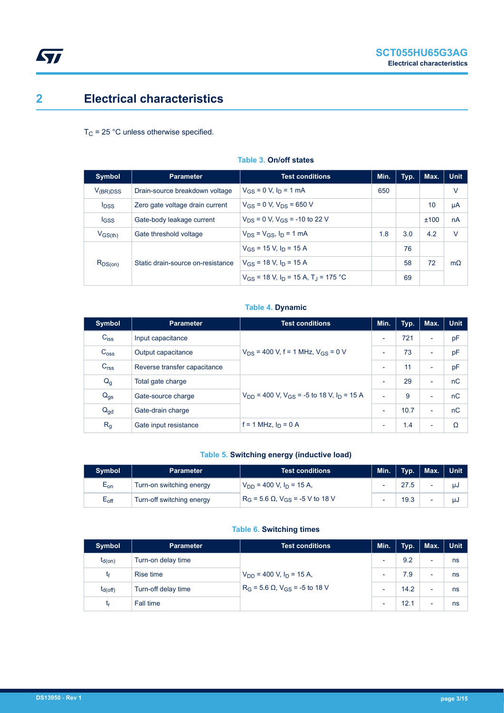## <span id="page-2-0"></span>**2 Electrical characteristics**

 $T_C$  = 25 °C unless otherwise specified.

| Symbol                  | <b>Parameter</b>                  | <b>Test conditions</b>                                 | Min. | Typ. | Max. | <b>Unit</b> |
|-------------------------|-----------------------------------|--------------------------------------------------------|------|------|------|-------------|
| $V_{(BR)DSS}$           | Drain-source breakdown voltage    | $V_{GS} = 0$ V, $I_D = 1$ mA                           | 650  |      |      | V           |
| <b>I</b> <sub>DSS</sub> | Zero gate voltage drain current   | $V_{GS} = 0$ V, $V_{DS} = 650$ V                       |      |      | 10   | μA          |
| <b>IGSS</b>             | Gate-body leakage current         | $V_{DS} = 0$ V, $V_{GS} = -10$ to 22 V                 |      |      | ±100 | nA          |
| $V_{GS(th)}$            | Gate threshold voltage            | $V_{DS} = V_{GS}$ , $I_D = 1$ mA                       | 1.8  | 3.0  | 4.2  | $\vee$      |
|                         |                                   | $V_{GS}$ = 15 V, $I_D$ = 15 A                          |      | 76   |      |             |
| $R_{DS(on)}$            | Static drain-source on-resistance | $V_{GS}$ = 18 V, $I_D$ = 15 A                          |      | 58   | 72   | $m\Omega$   |
|                         |                                   | $V_{GS}$ = 18 V, $I_D$ = 15 A, T <sub>J</sub> = 175 °C |      | 69   |      |             |

### **Table 3. On/off states**

### **Table 4. Dynamic**

| Symbol           | <b>Parameter</b>             | <b>Test conditions</b>                                                | Min.                     | Typ. | Max.                     | <b>Unit</b> |
|------------------|------------------------------|-----------------------------------------------------------------------|--------------------------|------|--------------------------|-------------|
| $C_{\text{iss}}$ | Input capacitance            |                                                                       | $\overline{\phantom{a}}$ | 721  | $\overline{\phantom{a}}$ | pF          |
| C <sub>oss</sub> | Output capacitance           | $V_{DS}$ = 400 V, f = 1 MHz, $V_{GS}$ = 0 V                           | $\overline{\phantom{0}}$ | 73   | $\overline{\phantom{a}}$ | pF          |
| C <sub>rss</sub> | Reverse transfer capacitance |                                                                       | $\overline{\phantom{a}}$ | 11   | $\overline{\phantom{a}}$ | pF          |
| $Q_g$            | Total gate charge            |                                                                       | $\overline{\phantom{a}}$ | 29   | $\overline{\phantom{a}}$ | nC          |
| $Q_{gs}$         | Gate-source charge           | $V_{DD}$ = 400 V, V <sub>GS</sub> = -5 to 18 V, I <sub>D</sub> = 15 A | $\overline{\phantom{a}}$ | 9    | $\overline{\phantom{0}}$ | nC          |
| $Q_{gd}$         | Gate-drain charge            |                                                                       |                          | 10.7 | $\overline{\phantom{a}}$ | nC          |
| R <sub>g</sub>   | Gate input resistance        | f = 1 MHz, $I_D$ = 0 A                                                | $\overline{\phantom{a}}$ | 1.4  | $\overline{\phantom{a}}$ | Ω           |

### **Table 5. Switching energy (inductive load)**

| <b>Symbol</b>    | <b>Parameter</b>          | <b>Test conditions</b>                        | Min.                     | Typ. | $\vert$ Max. $\vert$ Unit |    |
|------------------|---------------------------|-----------------------------------------------|--------------------------|------|---------------------------|----|
| $E_{on}$         | Turn-on switching energy  | $V_{DD}$ = 400 V, $I_D$ = 15 A,               | $\overline{\phantom{0}}$ | 27.5 |                           | μJ |
| $E_{\text{off}}$ | Turn-off switching energy | $R_G$ = 5.6 Ω, V <sub>GS</sub> = -5 V to 18 V | $\overline{\phantom{0}}$ | 19.3 | $\overline{\phantom{0}}$  | uJ |

### **Table 6. Switching times**

| <b>Symbol</b> | <b>Parameter</b>    | <b>Test conditions</b>                              | Min.                     | Typ. | Max.                     | <b>Unit</b> |
|---------------|---------------------|-----------------------------------------------------|--------------------------|------|--------------------------|-------------|
| $t_{d(on)}$   | Turn-on delay time  |                                                     | $\overline{\phantom{0}}$ | 9.2  | ۰                        | ns          |
| t۴            | Rise time           | $V_{DD}$ = 400 V, $I_D$ = 15 A,                     | ۰                        | 7.9  | ۰                        | ns          |
| $t_{d(Off)}$  | Turn-off delay time | $R_G$ = 5.6 $\Omega$ , V <sub>GS</sub> = -5 to 18 V | $\overline{\phantom{0}}$ | 14.2 | $\overline{\phantom{0}}$ | ns          |
| ιr            | Fall time           |                                                     | $\,$                     | 12.1 | ۰                        | ns          |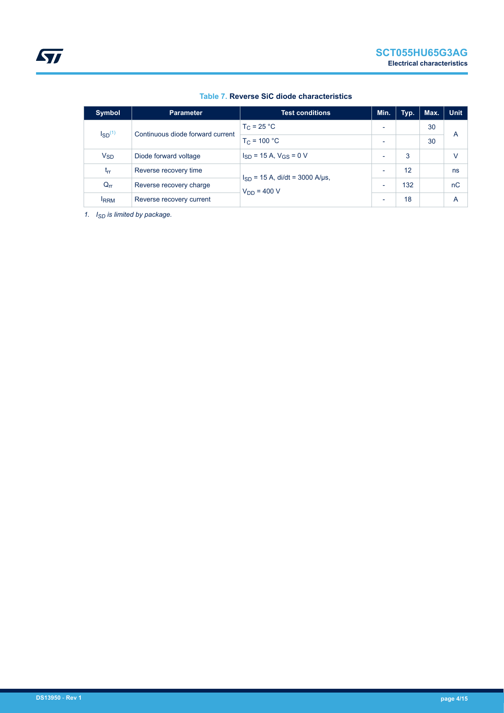| <b>Symbol</b>                                            | <b>Parameter</b>         | <b>Test conditions</b>              | Min.                     | Typ. | Max. | <b>Unit</b> |
|----------------------------------------------------------|--------------------------|-------------------------------------|--------------------------|------|------|-------------|
| $\mathsf{ISD}^{(1)}$<br>Continuous diode forward current |                          | $T_C = 25 °C$                       | $\overline{\phantom{0}}$ |      | 30   |             |
|                                                          | $T_C = 100 °C$           | $\overline{\phantom{0}}$            |                          | 30   | Α    |             |
| $V_{SD}$                                                 | Diode forward voltage    | $I_{SD}$ = 15 A, $V_{GS}$ = 0 V     | $\overline{\phantom{0}}$ | 3    |      | V           |
| $I_{rr}$                                                 | Reverse recovery time    | $I_{SD}$ = 15 A, di/dt = 3000 A/µs, | $\overline{\phantom{0}}$ | 12   |      | ns          |
| $Q_{rr}$                                                 | Reverse recovery charge  | $V_{DD} = 400 V$                    | $\overline{\phantom{0}}$ | 132  |      | nC          |
| <b>IRRM</b>                                              | Reverse recovery current |                                     | $\overline{\phantom{0}}$ | 18   |      | Α           |

### **Table 7. Reverse SiC diode characteristics**

*1. ISD is limited by package.*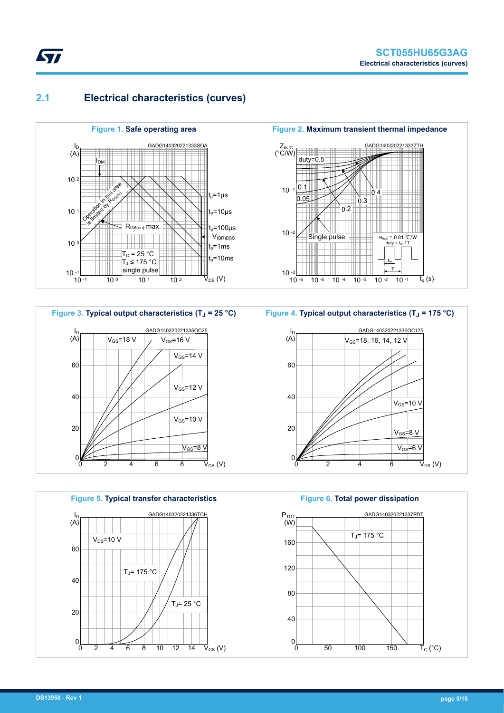## **2.1 Electrical characteristics (curves)**

<span id="page-4-0"></span>*kyl* 









**Figure 6. Total power dissipation** GADG140320221337PDT 160 120 80 40  $0<sub>L</sub>$ 0 50 100 150 P<sub>TOT</sub> (W)  $\vec{\mathsf{T}}_{\mathrm{C}}$  (°C)  $T_J$ = 175 °C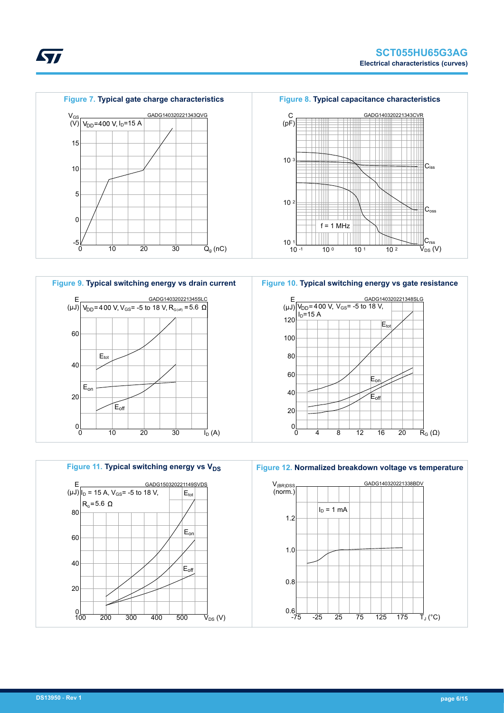



**Figure 10. Typical switching energy vs gate resistance**





**STI**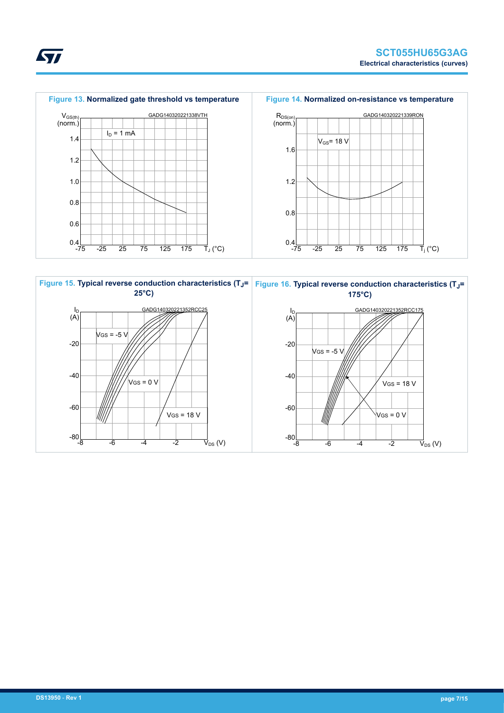





ST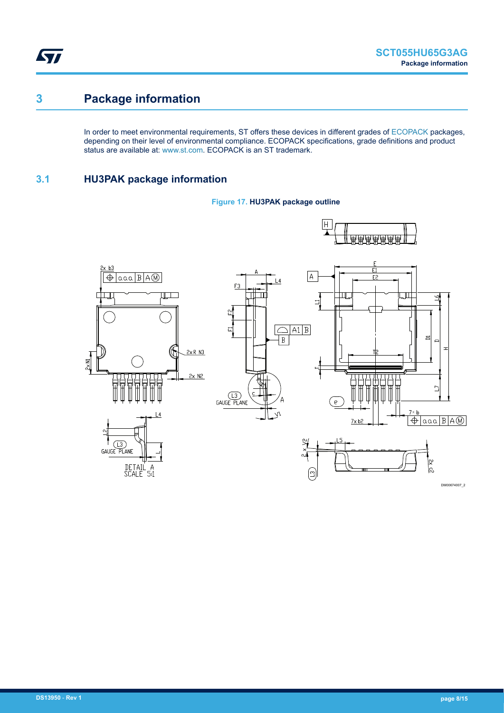<span id="page-7-0"></span>ST

## **3 Package information**

In order to meet environmental requirements, ST offers these devices in different grades of [ECOPACK](https://www.st.com/ecopack) packages, depending on their level of environmental compliance. ECOPACK specifications, grade definitions and product status are available at: [www.st.com.](http://www.st.com) ECOPACK is an ST trademark.

## **3.1 HU3PAK package information**



**Figure 17. HU3PAK package outline**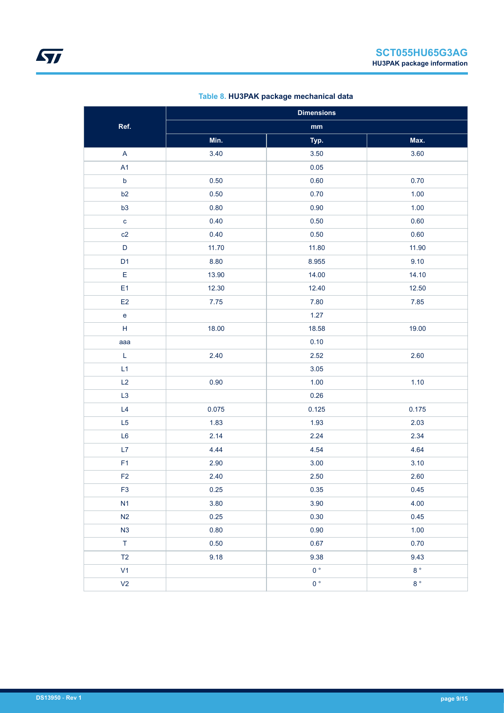| Table 8. HU3PAK package mechanical data |  |
|-----------------------------------------|--|
|-----------------------------------------|--|

|                                   | <b>Dimensions</b> |                |                  |  |  |
|-----------------------------------|-------------------|----------------|------------------|--|--|
| Ref.                              |                   | $\mathbf{mm}$  |                  |  |  |
|                                   | Min.              | Typ.           | Max.             |  |  |
| $\mathsf A$                       | 3.40              | 3.50           | 3.60             |  |  |
| A1                                |                   | 0.05           |                  |  |  |
| $\mathsf b$                       | 0.50              | 0.60           | 0.70             |  |  |
| b2                                | 0.50              | 0.70           | 1.00             |  |  |
| b3                                | 0.80              | 0.90           | 1.00             |  |  |
| $\mathbf{C}$                      | 0.40              | 0.50           | 0.60             |  |  |
| c2                                | 0.40              | 0.50           | 0.60             |  |  |
| $\mathsf D$                       | 11.70             | 11.80          | 11.90            |  |  |
| D <sub>1</sub>                    | 8.80              | 8.955          | 9.10             |  |  |
| E                                 | 13.90             | 14.00          | 14.10            |  |  |
| E <sub>1</sub>                    | 12.30             | 12.40          | 12.50            |  |  |
| E <sub>2</sub>                    | $7.75$            | 7.80           | 7.85             |  |  |
| $\mathsf{e}% _{t}\left( t\right)$ |                   | 1.27           |                  |  |  |
| H                                 | 18.00             | 18.58          | 19.00            |  |  |
| aaa                               |                   | 0.10           |                  |  |  |
| L                                 | 2.40              | 2.52           | 2.60             |  |  |
| L1                                |                   | 3.05           |                  |  |  |
| L2                                | 0.90              | 1.00           | 1.10             |  |  |
| L <sub>3</sub>                    |                   | 0.26           |                  |  |  |
| L4                                | 0.075             | 0.125          | 0.175            |  |  |
| L <sub>5</sub>                    | 1.83              | 1.93           | 2.03             |  |  |
| L <sub>6</sub>                    | 2.14              | 2.24           | 2.34             |  |  |
| L7                                | 4.44              | 4.54           | 4.64             |  |  |
| F <sub>1</sub>                    | 2.90              | 3.00           | 3.10             |  |  |
| F <sub>2</sub>                    | 2.40              | 2.50           | 2.60             |  |  |
| F <sub>3</sub>                    | 0.25              | 0.35           | 0.45             |  |  |
| N1                                | 3.80              | 3.90           | 4.00             |  |  |
| N2                                | 0.25              | 0.30           | 0.45             |  |  |
| N3                                | 0.80              | 0.90           | $1.00$           |  |  |
| $\top$                            | 0.50              | 0.67           | 0.70             |  |  |
| T2                                | 9.18              | 9.38           | 9.43             |  |  |
| V1                                |                   | 0 <sup>°</sup> | $8\,^{\circ}$    |  |  |
| V <sub>2</sub>                    |                   | $0^{\circ}$    | $8\,$ $^{\circ}$ |  |  |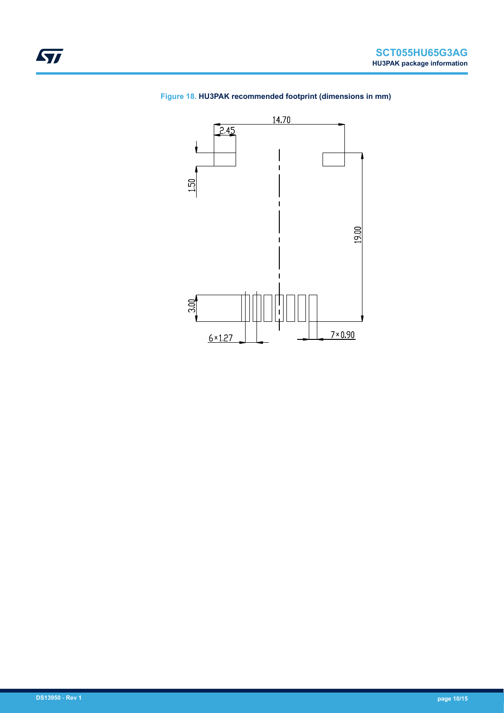

### **Figure 18. HU3PAK recommended footprint (dimensions in mm)**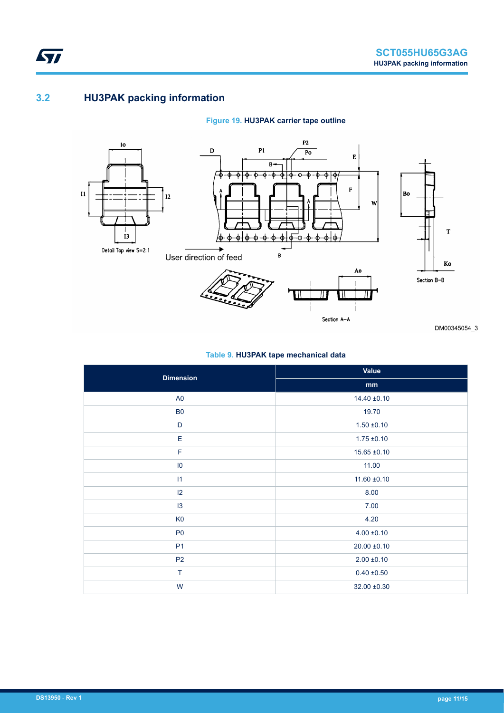## **3.2 HU3PAK packing information**

<span id="page-10-0"></span>**STI** 

### **Figure 19. HU3PAK carrier tape outline**



DM00345054\_3

### **Table 9. HU3PAK tape mechanical data**

| <b>Dimension</b> | Value            |
|------------------|------------------|
|                  | mm               |
| A <sub>0</sub>   | $14.40 \pm 0.10$ |
| B <sub>0</sub>   | 19.70            |
| $\mathsf D$      | $1.50 \pm 0.10$  |
| Ε                | $1.75 \pm 0.10$  |
| $\mathsf F$      | $15.65 \pm 0.10$ |
| $\overline{10}$  | 11.00            |
| 11               | $11.60 \pm 0.10$ |
| $ 2\rangle$      | 8.00             |
| 13               | 7.00             |
| K <sub>0</sub>   | 4.20             |
| P <sub>0</sub>   | $4.00 \pm 0.10$  |
| P <sub>1</sub>   | $20.00 \pm 0.10$ |
| P <sub>2</sub>   | $2.00 \pm 0.10$  |
| T                | $0.40 \pm 0.50$  |
| W                | $32.00 \pm 0.30$ |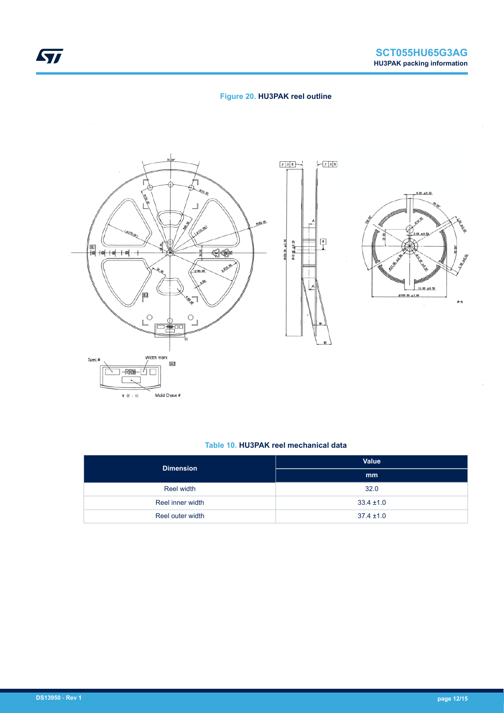### **Figure 20. HU3PAK reel outline**





#### **Table 10. HU3PAK reel mechanical data**

| <b>Dimension</b> | <b>Value</b>   |
|------------------|----------------|
|                  | mm             |
| Reel width       | 32.0           |
| Reel inner width | $33.4 \pm 1.0$ |
| Reel outer width | $37.4 \pm 1.0$ |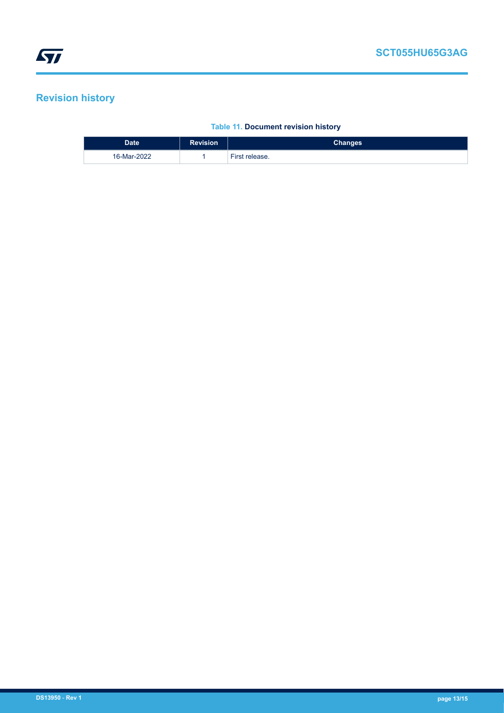# <span id="page-12-0"></span>**Revision history**

### **Table 11. Document revision history**

| <b>Date</b> | <b>Revision</b> | Changes        |
|-------------|-----------------|----------------|
| 16-Mar-2022 |                 | First release. |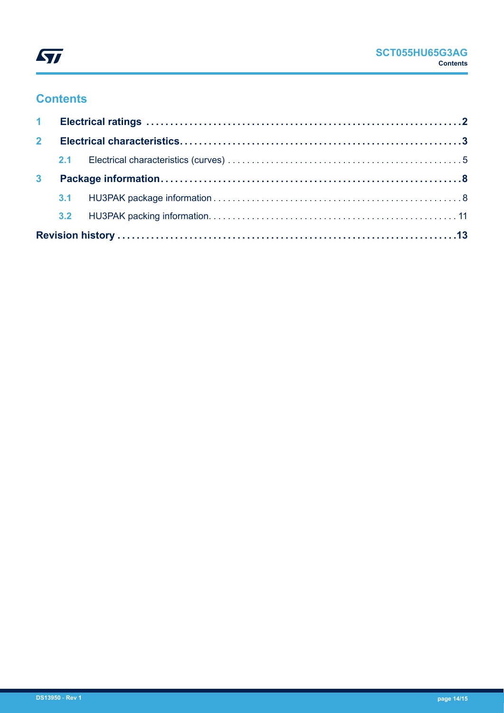

# **Contents**

| 2 <sup>1</sup> |  |  |  |
|----------------|--|--|--|
|                |  |  |  |
| 3 <sup>1</sup> |  |  |  |
|                |  |  |  |
|                |  |  |  |
|                |  |  |  |